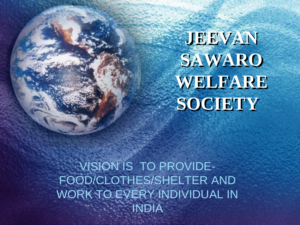**JEEVAN SAWARO WELFARE SOCIETY**

VISION IS TO PROVIDE-FOOD/CLOTHES/SHELTER AND WORK TO EVERY INDIVIDUAL IN INDIA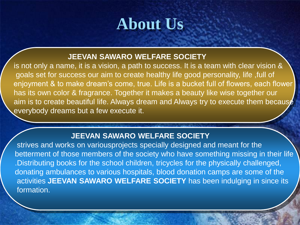## **About Us**

#### **JEEVAN SAWARO WELFARE SOCIETY**

is not only a name, it is a vision, a path to success. It is a team with clear vision & goals set for success our aim to create healthy life good personality, life ,full of enjoyment & to make dream's come, true. Life is a bucket full of flowers, each flower has its own color & fragrance. Together it makes a beauty like wise together our aim is to create beautiful life. Always dream and Always try to execute them because everybody dreams but a few execute it.

#### **JEEVAN SAWARO WELFARE SOCIETY**

strives and works on variousprojects specially designed and meant for the betterment of those members of the society who have something missing in their life .Distributing books for the school children, tricycles for the physically challenged, donating ambulances to various hospitals, blood donation camps are some of the activities **JEEVAN SAWARO WELFARE SOCIETY** has been indulging in since its formation.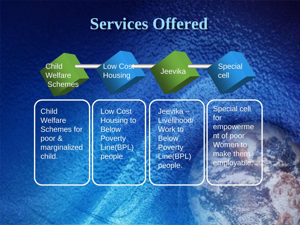#### **Services Offered**

**Child Welfare Schemes** 

Low Cost Low Cost Jeevika Special<br>Housing Jeevika Cell

cell

**Child Welfare** Schemes for poor & marginalized child.

Low Cost Housing to **Below Poverty** Line(BPL) people

Jeevika – Livelihood/ Work to **Below Poverty** Line(BPL) people.

Special cell for empowerme nt of poor Women to make them employable.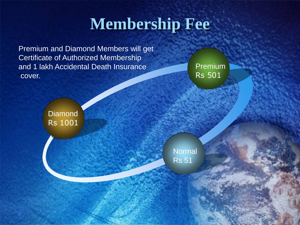# **Membership Fee**

Premium and Diamond Members will get Certificate of Authorized Membership and 1 lakh Accidental Death Insurance cover.

Premium Rs 501

**Diamond** Rs 1001

> Normal Rs 51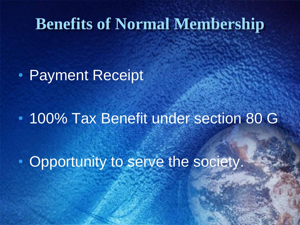### **Benefits of Normal Membership**

• Payment Receipt

• 100% Tax Benefit under section 80 G

• Opportunity to serve the society.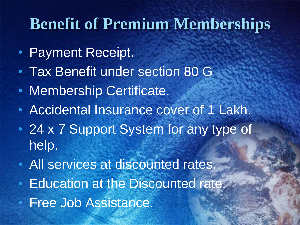### **Benefit of Premium Memberships**

- Payment Receipt.
- Tax Benefit under section 80 G
- Membership Certificate.
- Accidental Insurance cover of 1 Lakh.
- 24 x 7 Support System for any type of help.
- All services at discounted rates. • Education at the Discounted rate. • Free Job Assistance.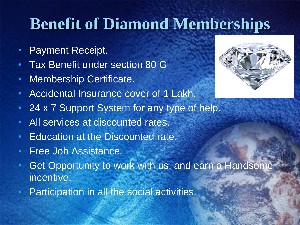# **Benefit of Diamond Memberships**

- Payment Receipt.
- Tax Benefit under section 80 G
- Membership Certificate.
- Accidental Insurance cover of 1 Lakh.
- 24 x 7 Support System for any type of help.
- All services at discounted rates.
- Education at the Discounted rate.
- Free Job Assistance.
- Get Opportunity to work with us, and earn a Handsome incentive.
- Participation in all the social activities.

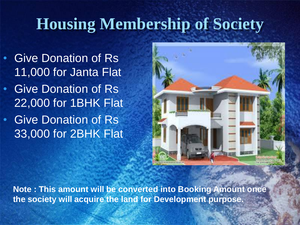# **Housing Membership of Society**

• Give Donation of Rs 11,000 for Janta Flat • Give Donation of Rs 22,000 for 1BHK Flat • Give Donation of Rs

33,000 for 2BHK Flat



**Note : This amount will be converted into Booking Amount once the society will acquire the land for Development purpose.**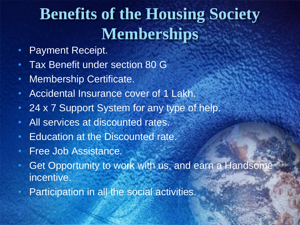# **Benefits of the Housing Society Memberships**

- Payment Receipt.
- Tax Benefit under section 80 G
- Membership Certificate.
- Accidental Insurance cover of 1 Lakh.
- 24 x 7 Support System for any type of help.
- All services at discounted rates.
- Education at the Discounted rate.
- Free Job Assistance.
- Get Opportunity to work with us, and earn a Handsome incentive.
- Participation in all the social activities.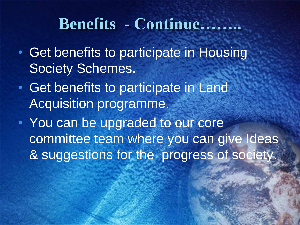#### **Benefits - Continue……..**

- Get benefits to participate in Housing Society Schemes.
- Get benefits to participate in Land Acquisition programme.
- You can be upgraded to our core committee team where you can give Ideas & suggestions for the progress of society.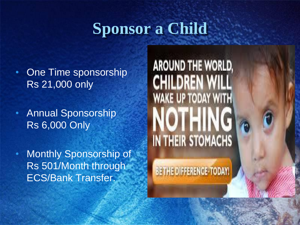# **Sponsor a Child**

- One Time sponsorship Rs 21,000 only
- Annual Sponsorship Rs 6,000 Only
- Monthly Sponsorship of Rs 501/Month through ECS/Bank Transfer.

**AROUND THE WORLD, CHILDREN WILI** WAKE UP TODAY WITH **IN THEIR STOMACHS** 

**BETHE DIFFERENCE-TODAY!**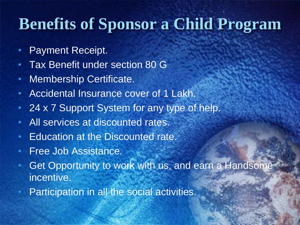# **Benefits of Sponsor a Child Program**

- Payment Receipt.
- Tax Benefit under section 80 G
- Membership Certificate.
- Accidental Insurance cover of 1 Lakh.
- 24 x 7 Support System for any type of help.
- All services at discounted rates.
- Education at the Discounted rate.
- Free Job Assistance.
- Get Opportunity to work with us, and earn a Handsome incentive.
- Participation in all the social activities.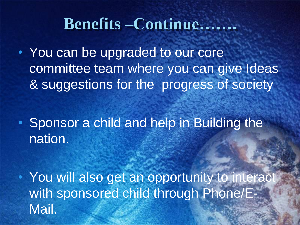#### **Benefits –Continue…….**

• You can be upgraded to our core committee team where you can give Ideas & suggestions for the progress of society

• Sponsor a child and help in Building the nation.

• You will also get an opportunity to interact with sponsored child through Phone/E-Mail.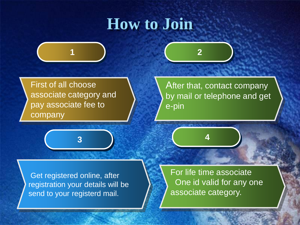### **How to Join**







After that, contact company by mail or telephone and get e-pin

Get registered online, after registration your details will be send to your registerd mail.

For life time associate One id valid for any one associate category.

**4**